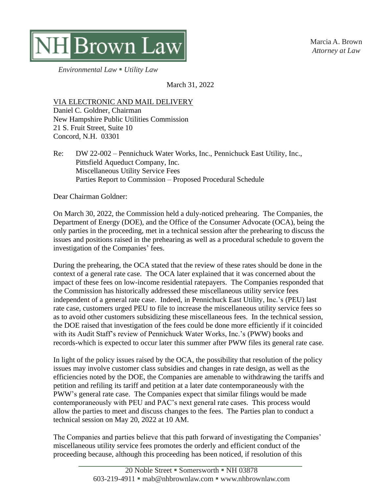Marcia A. Brown *Attorney at Law*



*Environmental Law* ▪ *Utility Law*

March 31, 2022

VIA ELECTRONIC AND MAIL DELIVERY Daniel C. Goldner, Chairman New Hampshire Public Utilities Commission 21 S. Fruit Street, Suite 10 Concord, N.H. 03301

Re: DW 22-002 – Pennichuck Water Works, Inc., Pennichuck East Utility, Inc., Pittsfield Aqueduct Company, Inc. Miscellaneous Utility Service Fees Parties Report to Commission – Proposed Procedural Schedule

Dear Chairman Goldner:

On March 30, 2022, the Commission held a duly-noticed prehearing. The Companies, the Department of Energy (DOE), and the Office of the Consumer Advocate (OCA), being the only parties in the proceeding, met in a technical session after the prehearing to discuss the issues and positions raised in the prehearing as well as a procedural schedule to govern the investigation of the Companies' fees.

During the prehearing, the OCA stated that the review of these rates should be done in the context of a general rate case. The OCA later explained that it was concerned about the impact of these fees on low-income residential ratepayers. The Companies responded that the Commission has historically addressed these miscellaneous utility service fees independent of a general rate case. Indeed, in Pennichuck East Utility, Inc.'s (PEU) last rate case, customers urged PEU to file to increase the miscellaneous utility service fees so as to avoid other customers subsidizing these miscellaneous fees. In the technical session, the DOE raised that investigation of the fees could be done more efficiently if it coincided with its Audit Staff's review of Pennichuck Water Works, Inc.'s (PWW) books and records-which is expected to occur later this summer after PWW files its general rate case.

In light of the policy issues raised by the OCA, the possibility that resolution of the policy issues may involve customer class subsidies and changes in rate design, as well as the efficiencies noted by the DOE, the Companies are amenable to withdrawing the tariffs and petition and refiling its tariff and petition at a later date contemporaneously with the PWW's general rate case. The Companies expect that similar filings would be made contemporaneously with PEU and PAC's next general rate cases. This process would allow the parties to meet and discuss changes to the fees. The Parties plan to conduct a technical session on May 20, 2022 at 10 AM.

The Companies and parties believe that this path forward of investigating the Companies' miscellaneous utility service fees promotes the orderly and efficient conduct of the proceeding because, although this proceeding has been noticed, if resolution of this